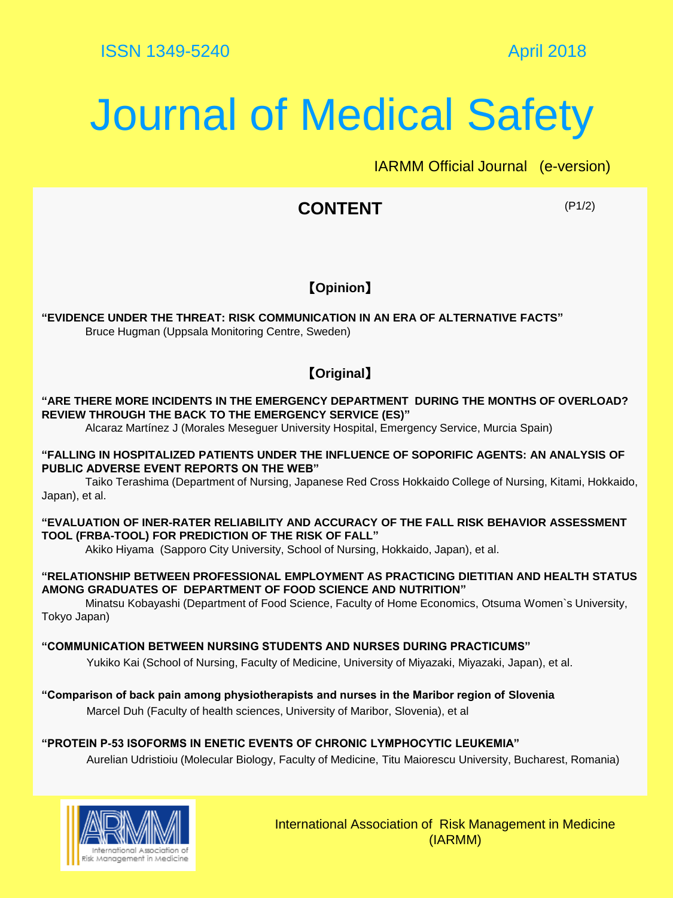# Journal of Medical Safety

IARMM Official Journal (e-version)

## **CONTENT**

(P1/2)

## 【**Opinion**】

**"EVIDENCE UNDER THE THREAT: RISK COMMUNICATION IN AN ERA OF ALTERNATIVE FACTS"** Bruce Hugman (Uppsala Monitoring Centre, Sweden)

## 【**Original**】

#### **"ARE THERE MORE INCIDENTS IN THE EMERGENCY DEPARTMENT DURING THE MONTHS OF OVERLOAD? REVIEW THROUGH THE BACK TO THE EMERGENCY SERVICE (ES)"**

Alcaraz Martínez J (Morales Meseguer University Hospital, Emergency Service, Murcia Spain)

#### **"FALLING IN HOSPITALIZED PATIENTS UNDER THE INFLUENCE OF SOPORIFIC AGENTS: AN ANALYSIS OF PUBLIC ADVERSE EVENT REPORTS ON THE WEB"**

Taiko Terashima (Department of Nursing, Japanese Red Cross Hokkaido College of Nursing, Kitami, Hokkaido, Japan), et al.

#### **"EVALUATION OF INER-RATER RELIABILITY AND ACCURACY OF THE FALL RISK BEHAVIOR ASSESSMENT TOOL (FRBA-TOOL) FOR PREDICTION OF THE RISK OF FALL"**

Akiko Hiyama (Sapporo City University, School of Nursing, Hokkaido, Japan), et al.

#### **"RELATIONSHIP BETWEEN PROFESSIONAL EMPLOYMENT AS PRACTICING DIETITIAN AND HEALTH STATUS AMONG GRADUATES OF DEPARTMENT OF FOOD SCIENCE AND NUTRITION"**

Minatsu Kobayashi (Department of Food Science, Faculty of Home Economics, Otsuma Women`s University, Tokyo Japan)

#### **"COMMUNICATION BETWEEN NURSING STUDENTS AND NURSES DURING PRACTICUMS"**

Yukiko Kai (School of Nursing, Faculty of Medicine, University of Miyazaki, Miyazaki, Japan), et al.

#### **"Comparison of back pain among physiotherapists and nurses in the Maribor region of Slovenia**

Marcel Duh (Faculty of health sciences, University of Maribor, Slovenia), et al

#### **"PROTEIN P-53 ISOFORMS IN ENETIC EVENTS OF CHRONIC LYMPHOCYTIC LEUKEMIA"**

Aurelian Udristioiu (Molecular Biology, Faculty of Medicine, Titu Maiorescu University, Bucharest, Romania)



International Association of Risk Management in Medicine (IARMM)